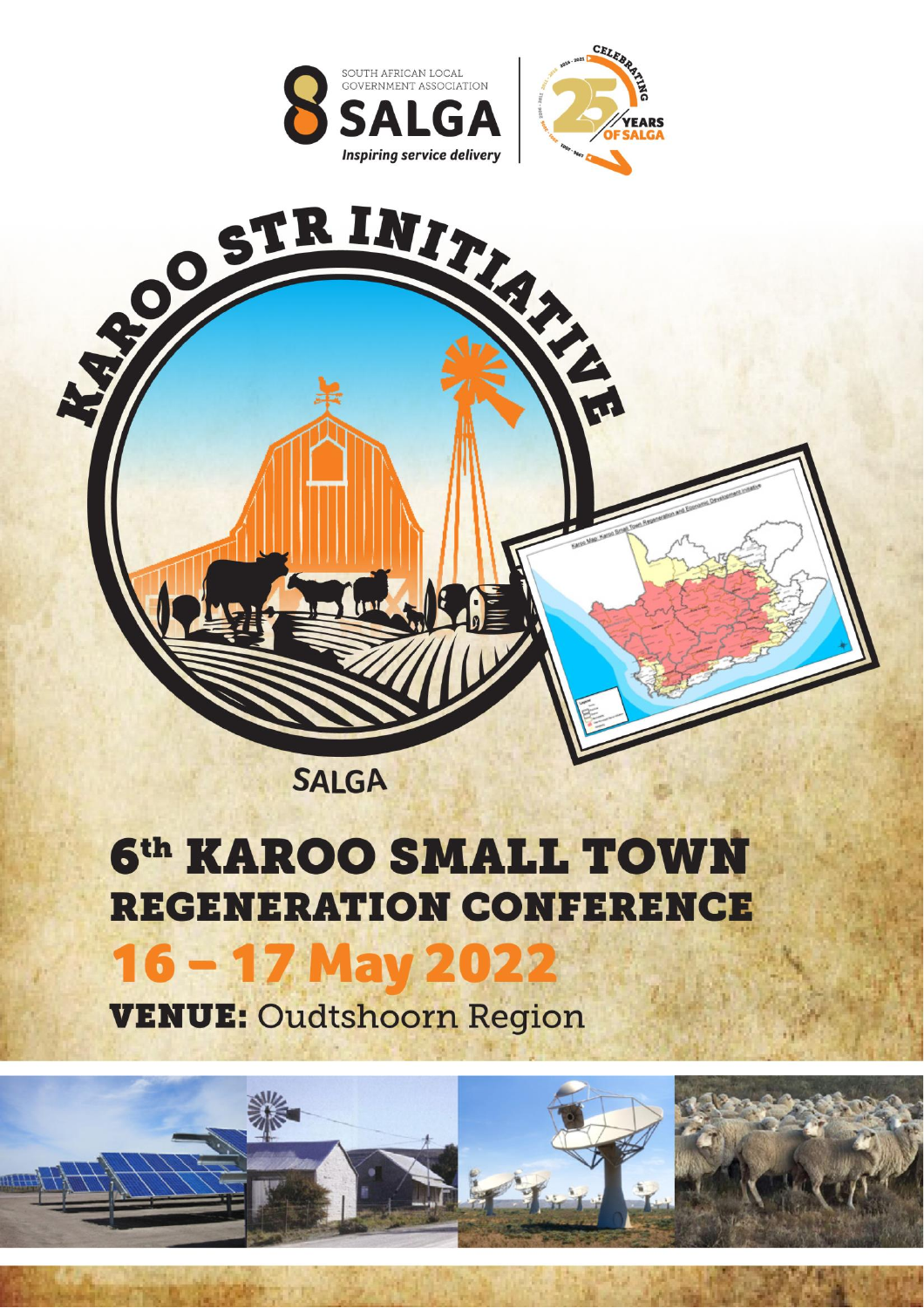





# 6<sup>th</sup> KAROO SMALL TOWN **REGENERATION CONFERENCE** 16 - 17 May 2022

**VENUE: Oudtshoorn Region** 

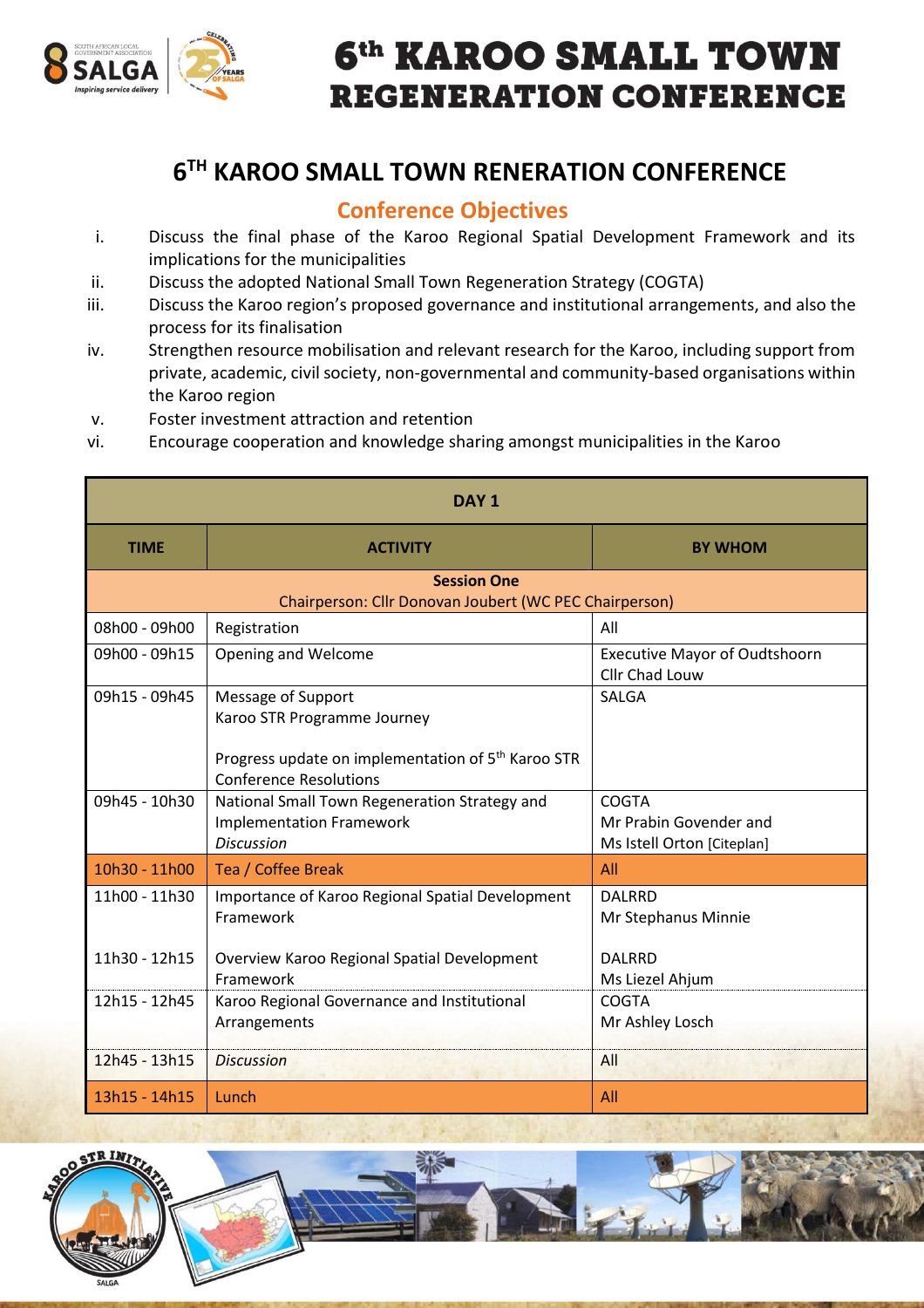

## 6<sup>th</sup> KAROO SMALL TOWN **REGENERATION CONFERENCE**

### **6 TH KAROO SMALL TOWN RENERATION CONFERENCE**

#### **Conference Objectives**

- i. Discuss the final phase of the Karoo Regional Spatial Development Framework and its implications for the municipalities
- ii. Discuss the adopted National Small Town Regeneration Strategy (COGTA)
- iii. Discuss the Karoo region's proposed governance and institutional arrangements, and also the process for its finalisation
- iv. Strengthen resource mobilisation and relevant research for the Karoo, including support from private, academic, civil society, non-governmental and community-based organisations within the Karoo region
- v. Foster investment attraction and retention
- vi. Encourage cooperation and knowledge sharing amongst municipalities in the Karoo

| DAY <sub>1</sub>                                       |                                                                                                                                                      |                                                               |  |  |
|--------------------------------------------------------|------------------------------------------------------------------------------------------------------------------------------------------------------|---------------------------------------------------------------|--|--|
| <b>TIME</b>                                            | <b>ACTIVITY</b>                                                                                                                                      | <b>BY WHOM</b>                                                |  |  |
| <b>Session One</b>                                     |                                                                                                                                                      |                                                               |  |  |
| Chairperson: Cllr Donovan Joubert (WC PEC Chairperson) |                                                                                                                                                      |                                                               |  |  |
| 08h00 - 09h00                                          | Registration                                                                                                                                         | All                                                           |  |  |
| 09h00 - 09h15                                          | Opening and Welcome                                                                                                                                  | <b>Executive Mayor of Oudtshoorn</b><br>Cllr Chad Louw        |  |  |
| 09h15 - 09h45                                          | Message of Support<br>Karoo STR Programme Journey<br>Progress update on implementation of 5 <sup>th</sup> Karoo STR<br><b>Conference Resolutions</b> | <b>SALGA</b>                                                  |  |  |
| 09h45 - 10h30                                          | National Small Town Regeneration Strategy and<br><b>Implementation Framework</b><br><b>Discussion</b>                                                | COGTA<br>Mr Prabin Govender and<br>Ms Istell Orton [Citeplan] |  |  |
| 10h30 - 11h00                                          | Tea / Coffee Break                                                                                                                                   | All                                                           |  |  |
| 11h00 - 11h30                                          | Importance of Karoo Regional Spatial Development<br>Framework                                                                                        | <b>DALRRD</b><br>Mr Stephanus Minnie                          |  |  |
| 11h30 - 12h15                                          | Overview Karoo Regional Spatial Development<br>Framework                                                                                             | <b>DALRRD</b><br>Ms Liezel Ahjum                              |  |  |
| 12h15 - 12h45                                          | Karoo Regional Governance and Institutional<br>Arrangements                                                                                          | COGTA<br>Mr Ashley Losch                                      |  |  |
| 12h45 - 13h15                                          | <b>Discussion</b>                                                                                                                                    | All                                                           |  |  |
| 13h15 - 14h15                                          | Lunch                                                                                                                                                | All                                                           |  |  |



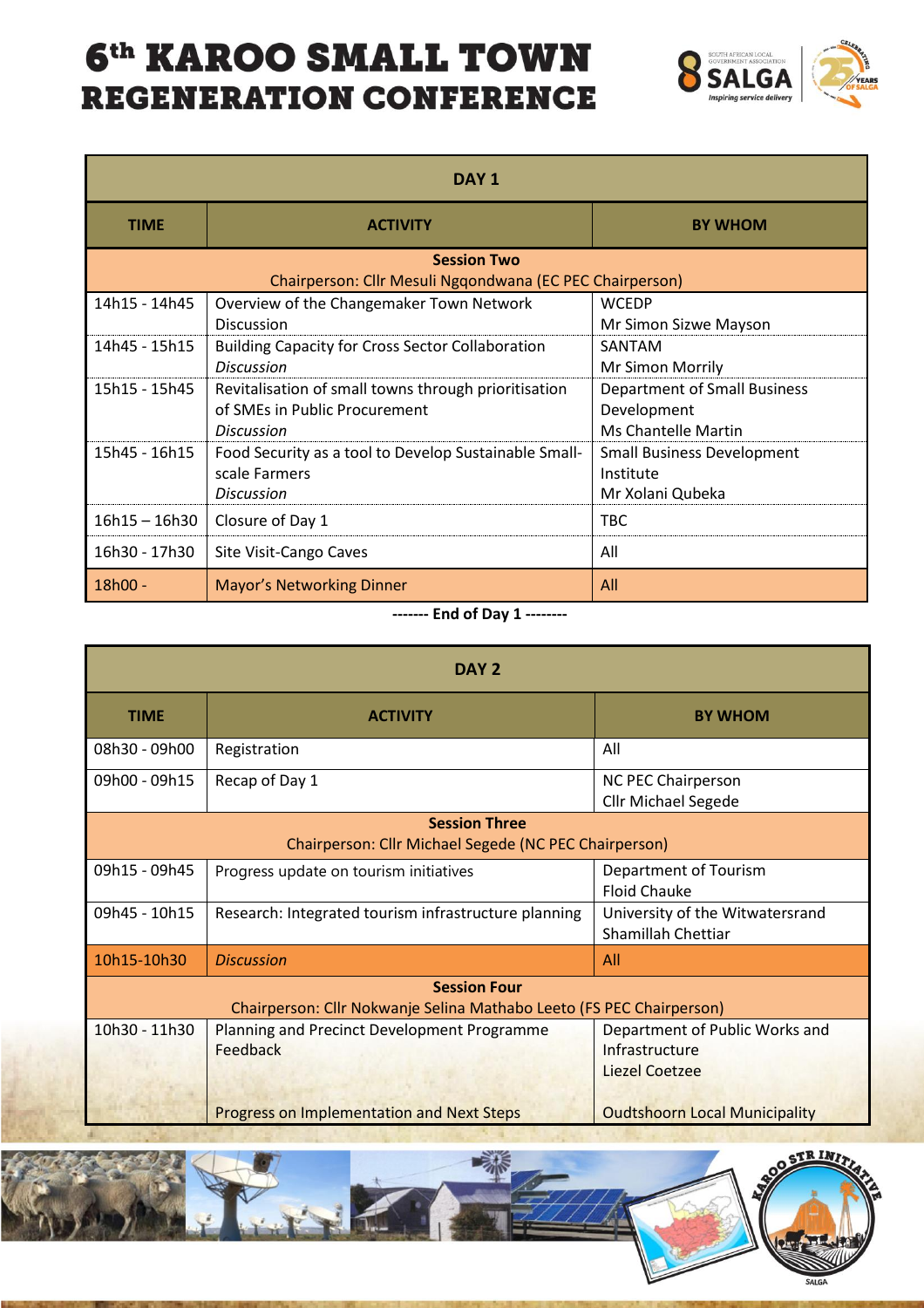### 6<sup>th</sup> KAROO SMALL TOWN **REGENERATION CONFERENCE**



| DAY <sub>1</sub>                                                               |                                                                                                            |                                                                           |  |  |
|--------------------------------------------------------------------------------|------------------------------------------------------------------------------------------------------------|---------------------------------------------------------------------------|--|--|
| <b>TIME</b>                                                                    | <b>ACTIVITY</b>                                                                                            | <b>BY WHOM</b>                                                            |  |  |
| <b>Session Two</b><br>Chairperson: Cllr Mesuli Ngqondwana (EC PEC Chairperson) |                                                                                                            |                                                                           |  |  |
| 14h15 - 14h45                                                                  | Overview of the Changemaker Town Network<br><b>Discussion</b>                                              | <b>WCEDP</b><br>Mr Simon Sizwe Mayson                                     |  |  |
| 14h45 - 15h15                                                                  | <b>Building Capacity for Cross Sector Collaboration</b><br><b>Discussion</b>                               | SANTAM<br>Mr Simon Morrily                                                |  |  |
| 15h15 - 15h45                                                                  | Revitalisation of small towns through prioritisation<br>of SMEs in Public Procurement<br><b>Discussion</b> | <b>Department of Small Business</b><br>Development<br>Ms Chantelle Martin |  |  |
| 15h45 - 16h15                                                                  | Food Security as a tool to Develop Sustainable Small-<br>scale Farmers<br><b>Discussion</b>                | <b>Small Business Development</b><br>Institute<br>Mr Xolani Qubeka        |  |  |
| 16h15 - 16h30                                                                  | Closure of Day 1                                                                                           | <b>TBC</b>                                                                |  |  |
| 16h30 - 17h30                                                                  | Site Visit-Cango Caves                                                                                     | All                                                                       |  |  |
| 18h00 -                                                                        | <b>Mayor's Networking Dinner</b>                                                                           | All                                                                       |  |  |

**------- End of Day 1 --------**

| DAY <sub>2</sub>                                                     |                                                      |                                                         |  |  |
|----------------------------------------------------------------------|------------------------------------------------------|---------------------------------------------------------|--|--|
| <b>TIME</b>                                                          | <b>ACTIVITY</b>                                      | <b>BY WHOM</b>                                          |  |  |
| 08h30 - 09h00                                                        | Registration                                         | All                                                     |  |  |
| 09h00 - 09h15                                                        | Recap of Day 1                                       | <b>NC PEC Chairperson</b><br><b>Cllr Michael Segede</b> |  |  |
| <b>Session Three</b>                                                 |                                                      |                                                         |  |  |
| Chairperson: Cllr Michael Segede (NC PEC Chairperson)                |                                                      |                                                         |  |  |
| 09h15 - 09h45                                                        | Progress update on tourism initiatives               | Department of Tourism<br><b>Floid Chauke</b>            |  |  |
| 09h45 - 10h15                                                        | Research: Integrated tourism infrastructure planning | University of the Witwatersrand<br>Shamillah Chettiar   |  |  |
| 10h15-10h30                                                          | <b>Discussion</b>                                    | All                                                     |  |  |
| <b>Session Four</b>                                                  |                                                      |                                                         |  |  |
| Chairperson: Cllr Nokwanje Selina Mathabo Leeto (FS PEC Chairperson) |                                                      |                                                         |  |  |
| 10h30 - 11h30                                                        | Planning and Precinct Development Programme          | Department of Public Works and                          |  |  |
|                                                                      | Feedback                                             | Infrastructure                                          |  |  |
|                                                                      |                                                      | <b>Liezel Coetzee</b>                                   |  |  |
|                                                                      | <b>Progress on Implementation and Next Steps</b>     | <b>Oudtshoorn Local Municipality</b>                    |  |  |